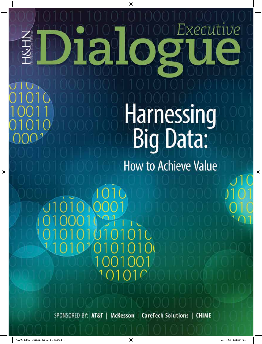# Executive

### Harnessing Big Data:

**How to Achieve Value** 

 $\mathcal{C}$ 

SPONSORED BY: AT&T | McKesson | CareTech Solutions | CHIME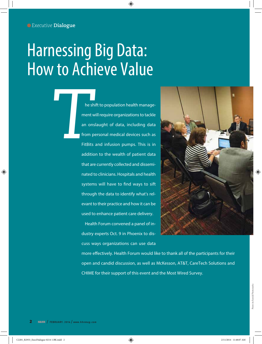### Harnessing Big Data: How to Achieve Value

**The shift to population health manage-<br>
<b>The shift to population health manage-**<br> **The shift of populations to tackle**<br> **The shift of data, including data**<br> **The shift of data infusion pumps. This is in<br>
addition to the w** ment will require organizations to tackle an onslaught of data, including data from personal medical devices such as FitBits and infusion pumps. This is in addition to the wealth of patient data that are currently collected and disseminated to clinicians. Hospitals and health systems will have to find ways to sift through the data to identify what's relevant to their practice and how it can be used to enhance patient care delivery.

> Health Forum convened a panel of industry experts Oct. 9 in Phoenix to discuss ways organizations can use data



more effectively. Health Forum would like to thank all of the participants for their open and candid discussion, as well as McKesson, AT&T, CareTech Solutions and CHIME for their support of this event and the Most Wired Survey.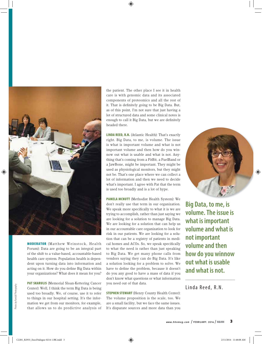

MODERATOR (Matthew Weinstock, Health Forum): Data are going to be an integral part of the shift to a value-based, accountable-based health care system. Population health is dependent upon turning data into information and acting on it. How do you define Big Data within your organizations? What does it mean for you?

PAT SKARULIS (Memorial Sloan-Kettering Cancer Center): Well, I think the term Big Data is being used too broadly. We, of course, use it to refer to things in our hospital setting. It's the information we get from our monitors, for example, that allows us to do predictive analysis of

the patient. The other place I see it in health care is with genomic data and its associated components of proteomics and all the rest of it. That is definitely going to be Big Data. But, as of this point, I'm not sure that just having a lot of structured data and some clinical notes is enough to call it Big Data, but we are definitely headed there.

LINDA REED, R.N. (Atlantic Health): That's exactly right. Big Data, to me, is volume. The issue is what is important volume and what is not important volume and then how do you winnow out what is usable and what is not. Anything that's coming from a FitBit, a FuelBand or a JawBone, might be important. They might be used as physiological monitors, but they might not be. That's one place where we can collect a lot of information and then we need to decide what's important. I agree with Pat that the term is used too broadly and is a lot of hype.

PAMELA MCNUTT (Methodist Health System): We don't really use that term in our organization. We speak more specifically to what it is we are trying to accomplish, rather than just saying we are looking for a solution to manage Big Data. We are looking for a solution that can help us in our accountable care organization to look for risk in our patients. We are looking for a solution that can be a registry of patients in medical homes and ACOs. So, we speak specifically to what the need is rather than just speaking to Big Data. We get many phone calls from vendors saying they can do Big Data. It's like a solution looking for a problem to solve. We have to define the problem, because it doesn't do you any good to have a mass of data if you don't know what questions or what information you need out of that data.

STEPHEN STEWART (Henry County Health Center): The volume proposition is the scale, too. We are a small facility, but we face the same issues. It's disparate sources and more data than you

**Big Data, to me, is volume. The issue is what is important volume and what is not important volume and then how do you winnow out what is usable and what is not.**

Linda Reed, R.N.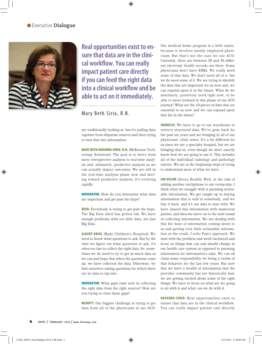#### *Executive* **Dialogue**



**Real opportunities exist to ensure that data are in the clinical workflow. You can really impact patient care directly if you can feed the right data into a clinical workflow and be able to act on it immediately.**

Mary Beth Sirio, R.N.

are traditionally looking at, but it's pulling data together from disparate sources and then trying to turn that into information.

MARY BETH NAVARRA-SIRIO, R.N. (McKesson Technology Solutions): The goal is to move from more retrospective analysis to real-time analysis and, ultimately, predictive analysis so we can actually impact outcomes. We are still in the real-time analysis phase now and moving toward predictive analysis. It's evolving rapidly.

MODERATOR: How do you determine what data are important and get past the hype?

REED: Everybody is trying to get past the hype. The Big Data label has gotten old. We have enough problems with too little data, not just Big Data.

ALBERT ORIOL (Rady Children's Hospital): We need to know what questions to ask. But by the time we figure out what questions to ask, it's often too late to collect the right data. So, sometimes we do need to try to get as much data as we can and hope that when the questions come up, we have collected the data. Otherwise, we find ourselves asking questions for which there are no data to tap into.

MODERATOR: What gaps exist now in collecting the right data from the right sources? How are you trying to close those gaps?

MCNUTT: Our biggest challenge is trying to get data from all of the physicians in our ACO.

Our medical home program is a little easier, because it involves mostly employed physicians. But that's not the case for our ACO. Currently, there are between 20 and 30 different electronic health records out there. Some physicians don't have EHRs. We really need some of that data. We don't need all of it, but we do need some of it. We are trying to identify the data that are important for us now and, we can expand upon it in the future. What do we absolutely, positively need right now, to be able to move forward in this phase of our ACO journey? What are the 10 pieces of data that are essential to us now and we can expand upon that list in the future?

**SKARULIS:** We have to go to our warehouse to retrieve structured data. We've gone back for the past six years and are bringing in all of our physicians' clinic notes. It's a bit different for us since we are a specialty hospital, but we are bringing that in, even though we don't exactly know how we are going to use it. This includes all of the individual radiology and pathology reports. We are at the beginning steps of trying to understand more of what we have.

JIM VELINE (Avera Health): Well, at the risk of adding another catchphrase to our vernacular, I think what we struggle with is pursuing actionable information. We get caught up in buying information that is sold to somebody, and we buy it back, and it's our data to start with. We have shared this information with numerous parties, and then we move on to the next round of collecting information. We are dealing with this fire hose of information coming down to us and getting very little actionable information as the result. I echo Pam's approach. We start with the problem and work backward and focus on things that can and should change in our health care system as opposed to pursuing information for information's sake. We can all claim some responsibility for being a victim of that behavior for the last few years. But now that we have a wealth of information that the provider community has not historically had, we are getting excited about some of the right things. We have to focus on what are we going to do with it and what can we do with it.

NAVARRA-SIRIO: Real opportunities exist to ensure that data are in the clinical workflow. You can really impact patient care directly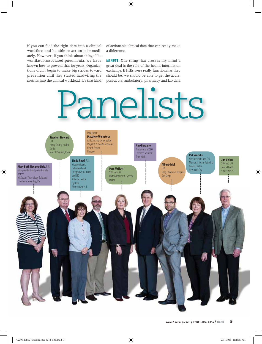if you can feed the right data into a clinical workflow and be able to act on it immediately. However, if you think about things like ventilator-associated pneumonia, we have known how to prevent that for years. Organizations didn't begin to make big strides toward prevention until they started hardwiring the metrics into the clinical workload. It's that kind

of actionable clinical data that can really make a difference.

MCNUTT: One thing that crosses my mind a great deal is the role of the health information exchange. If HIEs were really functional as they should be, we should be able to get the acute, post-acute, ambulatory, pharmacy and lab data

# Panelists

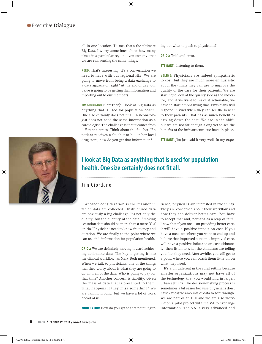all in one location. To me, that's the ultimate Big Data. I worry sometimes about how many times in a particular region, even our city, that we are reinventing the same things.

REED: That's interesting. It's a conversation we need to have with our regional HIE. We are going to move from being a data exchange to a data aggregator, right? At the end of day, our value is going to be getting that information and reporting out to our members.

JIM GIORDANO (CareTech): I look at Big Data as anything that is used for population health. One size certainly does not fit all. A neonatologist does not need the same information as a cardiologist. The challenge is that it comes from different sources. Think about the flu shot. If a patient receives a flu shot at his or her local drug store, how do you get that information?

ing out what to push to physicians?

**ORIOL:** Trial and error.

**STEWART:** Listening to them.

VELINE: Physicians are indeed sympathetic to cost, but they are much more enthusiastic about the things they can use to improve the quality of the care for their patients. We are starting to look at the quality side as the indicator, and if we want to make it actionable, we have to start emphasizing that. Physicians will respond in kind when they can see the benefit to their patients. That has as much benefit as driving down the cost. We are in the shift, but we are not far enough along yet to see the benefits of the infrastructure we have in place.

STEWART: Jim just said it very well. In my expe-



#### **I look at Big Data as anything that is used for population**  health. One size certainly does not fit all.

#### Jim Giordano

Another consideration is the manner in which data are collected. Unstructured data are obviously a big challenge. It's not only the quality, but the quantity of the data. Smoking cessation data should be more than a mere 'Yes' or 'No.' Physicians need to know frequency and duration. We are finally to the point where we can use this information for population health.

**ORIOL:** We are definitely moving toward achieving actionable data. The key is getting it into the clinical workflow, as Mary Beth mentioned. When we talk to physicians, one of the things that they worry about is what they are going to do with all of the data. Who is going to pay for that time? Another concern is liability. Given the mass of data that is presented to them, what happens if they miss something? We are gaining ground, but we have a lot of work ahead of us.

**MODERATOR:** How do you get to that point, figur-

rience, physicians are interested in two things. They are concerned about their workflow and how they can deliver better care. You have to accept that and, perhaps as a leap of faith, know that if you focus on providing better care, it will have a positive impact on cost. If you have a focus on where you want to end up and believe that improved outcome, improved care, will have a positive influence on cost ultimately, then listen to what the clinicians are telling you that they need. After awhile, you will get to a point where you can coach them little bit on what they need.

It's a bit different in the rural setting because smaller organizations may not have all of the technology that you would find in larger, urban settings. The decision-making process is sometimes a bit easier because physicians don't have excessive amounts of data to sort through. We are part of an HIE and we are also working on a pilot project with the VA to exchange information. The VA is very advanced and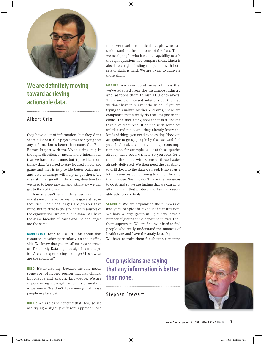

**We are definitely moving toward achieving actionable data.**

#### Albert Oriol

they have a lot of information, but they don't share a lot of it. Our physicians are saying that any information is better than none. Our Blue Button Project with the VA is a tiny step in the right direction. It means more information that we have to consume, but it provides more timely data. We need to stay focused on our end game and that is to provide better outcomes, and data exchange will help us get there. We may at times go off in the wrong direction but we need to keep moving and ultimately we will get to the right place.

I honestly can't fathom the shear magnitude of data encountered by my colleagues at larger facilities. Their challenges are greater than mine. But relative to the size of the resources of the organization, we are all the same. We have the same breadth of issues and the challenges are the same.

MODERATOR: Let's talk a little bit about that resource question particularly on the staffing side. We know that you are all facing a shortage of IT staff. Big Data requires significant analytics. Are you experiencing shortages? If so, what are the solutions?

REED: It's interesting, because the role needs some sort of hybrid person that has clinical knowledge and analytic knowledge. We are experiencing a drought in terms of analytic experience. We don't have enough of those people in place yet.

**ORIOL:** We are experiencing that, too, so we are trying a slightly different approach. We need very solid technical people who can understand the ins and outs of the data. Then we need people who have the capability to ask the right questions and compare them. Linda is absolutely right; finding the person with both sets of skills is hard. We are trying to cultivate those skills.

MCNUTT: We have found some solutions that we've adapted from the insurance industry and adapted them to our ACO endeavors. There are cloud-based solutions out there so we don't have to reinvent the wheel. If you are trying to analyze Medicare claims, there are companies that already do that. It's just in the cloud. The nice thing about that is it doesn't take any resources. It comes with some set utilities and tools, and they already know the kinds of things you need to be asking. How you are going to group people by diseases and find your high-risk areas or your high consumption areas, for example. A lot of these queries already have been written, so you look for a tool in the cloud with some of these basics already delivered. We then need the capability to drill down to the data we need. It saves us a lot of resources by not trying to run or develop that inhouse. We just don't have the resources to do it, and so we are finding that we can actually maintain that posture and have a reasonable selection of tools.

**SKARULIS:** We are expanding the numbers of analytics people throughout the institution. We have a large group in IT; but we have a number of groups at the department level. I call them superusers. We are finding it hard to find people who really understand the nuances of health care and have the analytic background. We have to train them for about six months

#### **Our physicians are saying that any information is better than none.**

Stephen Stewart

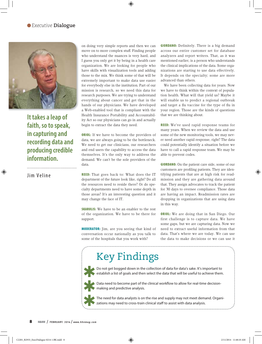#### *Executive* **Dialogue**



**It takes a leap of faith, so to speak, in capturing and recording data and producing credible information.**

Jim Veline

on doing very simple reports and then we can move on to more complex stuff. Finding people who understand the nuances is very hard, and I guess you only get it by being in a health care organization. We are looking for people who have skills with visualization tools and adding those to the mix. We think some of that will be extremely important to make data use easier for everybody else in the institution. Part of our mission is research, so we need this data for research purposes. We are trying to understand everything about cancer and get that in the hands of our physicians. We have developed a Web-enabled tool that is compliant with the Health Insurance Portability and Accountability Act so our physicians can go in and actually begin to extract the data they need.

**ORIOL:** If we have to become the providers of data, we are always going to be the bottleneck. We need to get our clinicians, our researchers and end users the capability to access the data themselves. It's the only way to address the demand. We can't be the sole providers of the data.

REED: That goes back to: What does the IT department of the future look like, right? Do all the resources need to reside there? Or do specialty departments need to have some depth in those areas? It's an interesting question and it may change the face of IT.

**SKARULIS:** We have to be an enabler to the rest of the organization. We have to be there for support.

MODERATOR: Jim, are you seeing that kind of conversation occur nationally as you talk to some of the hospitals that you work with?

GIORDANO: Definitely. There is a big demand across our entire customer set for database analyzers and report writers. That, as it was mentioned earlier, is a person who understands the clinical implications of the data. Some organizations are starting to use data effectively. It depends on the specialty; some are more advanced than others.

We have been collecting data for years. Now we have to think within the context of population health. What will that yield us? Maybe it will enable us to predict a regional outbreak and target a flu vaccine for the type of flu in your region. Those are the kinds of questions that we are thinking about.

REED: We've used rapid response teams for many years. When we review the data and use some of the new monitoring tools, we may never need another rapid response, right? The data could potentially identify a situation before we have to call a rapid response team. We may be able to prevent codes.

GIORDANO: On the patient care side, some of our customers are profiling patients. They are identifying patients that are at high risk for readmission and they are gathering data around that. They assign advocates to track the patient for 30 days to oversee compliance. Those data are having an impact. Readmission rates are dropping in organizations that are using data in this way.

**ORIOL:** We are doing that in San Diego. Our first challenge is to capture data. We have some gaps, but we are capturing data. Now we need to extract useful information from that data. That's where we are today. We can use the data to make decisions or we can use it

#### Key Findings

Do not get bogged down in the collection of data for data's sake. It's important to establish a list of goals and then select the data that will be useful to achieve them. ✱



 $\blacktriangle$  Data need to become part of the clinical workflow to allow for real-time decisionmaking and predictive analysis.

The need for data analysts is on the rise and supply may not meet demand. Organizations may need to cross-train clinical staff to assist with data analysis. ✱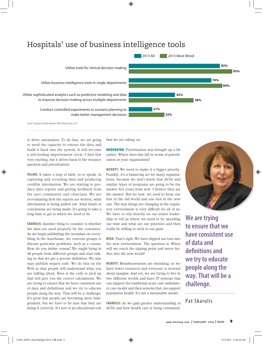#### Hospitals' use of business intelligence tools



to drive automation. To do that, we are going to need the capacity to extract the data and build it back into the system. It will become a self-feeding improvement circle. I find that very exciting, but it drives back to the resource question and prioritization.

VELINE: It takes a leap of faith, so to speak, in capturing and recording data and producing credible information. We are starting to produce data reports and getting feedback from the user community and clinicians. We are re-evaluating how the reports are written, what information is being pulled out, what kinds of conclusions are being made. It's going to take a long time to get to where we need to be.

**SKARULIS:** Another thing to consider is whether the data are used properly by the consumer. As we begin publishing the metadata on everything in the warehouse, we convene groups to discuss particular problems, such as a census. How do you define census? We might bring in 40 people from different groups and start talking so that we get a precise definition. We also may publish sequel code. We do this on the Web so that people will understand what you are talking about. Here is the code to pick up that will give you the correct calculations. We are trying to ensure that we have consistent use of data and definitions and we try to educate people along the way. That will be a challenge. It's great that people are becoming more independent, but we have to be sure that they are doing it correctly. It's sort of an educational role

that we are taking on.

MODERATOR: Prioritization was brought up a bit earlier. Where does this fall in terms of prioritization at your organization?

MCNUTT: We need to make it a bigger priority. Frankly, it's a balancing act for many organizations, because we don't know that ACOs and similar types of programs are going to be the answer five years from now. I believe they are the answer. But for now, we need to keep one foot in the old world and one foot in the new one. The way things are changing in the regulatory environment is very difficult for all of us. We have to rely heavily on our senior leadership to tell us where we need to be spending our time and what are our priorities and then really be willing to stick to our guns.

REED: That's right. We have dipped our toes into the new environment. The question is: When will we reach the tipping point and move further into the new world?

MCNUTT: Reimbursements are shrinking, so we have fewer resources and everyone is worried about margins. And yet, we are trying to live in two different worlds and have IT systems that can support the traditional acute care ambulatory care model and then systems that can support population health. It's not a sustainable model.

**SKARULIS:** As we gain greater understanding of ACOs and how health care is being consumed,



**We are trying to ensure that we have consistent use of data and**  definitions and **we try to educate people along the way. That will be a challenge.**

Pat Skarulis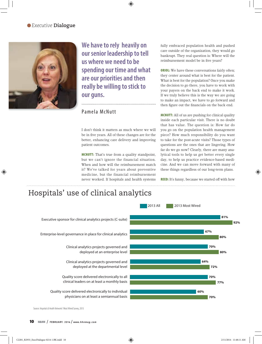#### *Executive* **Dialogue**



**We have to rely heavily on our senior leadership to tell us where we need to be spending our time and what are our priorities and then really be willing to stick to our guns.** 

#### Pamela McNutt

I don't think it matters as much where we will be in five years. All of these changes are for the better, enhancing care delivery and improving patient outcomes.

MCNUTT: That's true from a quality standpoint, but we can't ignore the financial situation. When and how will the reimbursement match it? We've talked for years about preventive medicine, but the financial reimbursement never worked. If hospitals and health systems fully embraced population health and pushed care outside of the organization, they would go bankrupt. They real question is: Where will the reimbursement model be in five years?

**ORIOL:** We have these conversations fairly often; they center around what is best for the patient. What is best for the population? Once you make the decision to go there, you have to work with your payers on the back end to make it work. If we truly believe this is the way we are going to make an impact, we have to go forward and then figure out the financials on the back end.

MCNUTT: All of us are pushing for clinical quality inside each particular visit. There is no doubt that has value. The question is: How far do you go on the population health management piece? How much responsibility do you want to take for the post-acute visits? Those types of questions are the ones that are lingering. How far do we go now? Clearly, there are many analytical tools to help us get better every single day, to help us practice evidence-based medicine. And we can move forward with many of these things regardless of our long-term plans.

REED: It's funny, because we started off with how

#### Hospitals' use of clinical analytics



Source: *Hospitals & Health Networks'* Most Wired Survey, 2013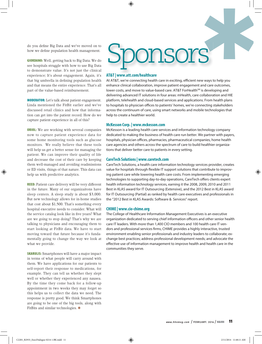do you define Big Data and we've moved on to how we define population health management.

GIORDANO: Well, getting back to Big Data. We do see hospitals struggle with how to use Big Data to demonstrate value. It's not just the clinical experience; It's about engagement. Again, it's that big umbrella in defining population health and that means the entire experience. That's all part of the value-based reimbursement.

MODERATOR: Let's talk about patient engagement. Linda mentioned the FitBit earlier and we've discussed retail clinics and how that information can get into the patient record. How do we capture patient experience in all of this?

**ORIOL:** We are working with several companies now to capture patient experience data for some home monitoring tools such as glucose monitors. We really believe that these tools will help us get a better sense for managing the patient. We can improve their quality of life and decrease the cost of their care by keeping them well-managed and avoiding readmissions or ED visits, things of that nature. This data can help us with predictive analytics.

**REED:** Patient care delivery will be very different in the future. Many of our organizaitons have sleep centers. A sleep study is about \$3,000. But new technology allows for in-home studies that cost about \$1,500. That's something every hospital executive needs to consider. What will the service catalog look like in five years? What are we going to stop doing? That's why we are talking to physicians and encouraging them to start looking at FitBit data. We have to start moving toward that future because it's fundamentally going to change the way we look at what we provide.

SKARULIS: Smartphones will have a major impact in terms of what people will carry around with them. We have applications for our patients to self-report their response to medications, for example. They can tell us whether they slept well or whether they experienced any nausea. By the time they come back for a follow-up appointment in two weeks they may forget so this helps us to collect the data we need. The response is pretty good. We think Smartphones are going to be one of the big tools, along with FitBits and similar technologies.  $\star$ 

## ponsors ✱

#### **AT&T | www.att.com/healthcare**

At AT&T, we're connecting health care in exciting, efficient new ways to help you enhance clinical collaboration, improve patient engagement and care outcomes, lower costs, and move to value-based care. AT&T ForHealth<sup>SM</sup> is developing and delivering advanced IT solutions in four areas: mHealth, care collaboration and HIE platform, telehealth and cloud-based services and applications. From health plans to hospitals to physician offices to patients' homes, we're connecting stakeholders across the continuum of care, using smart networks and mobile technologies that help to create a healthier world.

#### **McKesson Corp. | www.mckesson.com**

McKesson is a leading health care services and information technology company dedicated to making the business of health care run better. We partner with payers, hospitals, physician offices, pharmacies, pharmaceutical companies, home health care agencies and others across the spectrum of care to build healthier organizations that deliver better care to patients in every setting.

#### **CareTech Solutions | www.caretech.com**

CareTech Solutions, a health care information technology services provider, creates value for hospitals through flexible IT support solutions that contribute to improving patient care while lowering health care costs. From implementing emerging technologies to supporting day-to-day operations, CareTech offers clients expert health information technology services, earning it the 2008, 2009, 2010 and 2011 Best in KLAS award for IT Outsourcing (Extensive), and the 2012 Best in KLAS award for IT Outsourcing (Partial) as ranked by health care executives and professionals in the "2012 Best in KLAS Awards: Software & Services" report.

#### **CHIME | www.cio-chime.org**

The College of Healthcare Information Management Executives is an executive organization dedicated to serving chief information officers and other senior health care IT leaders. With more than 1,400 CIO members and 100 health care IT vendors and professional services firms, CHIME provides a highly interactive, trusted environment enabling senior professionals and industry leaders to collaborate; exchange best practices; address professional development needs; and advocate the effective use of information management to improve health and health care in the communities they serve.